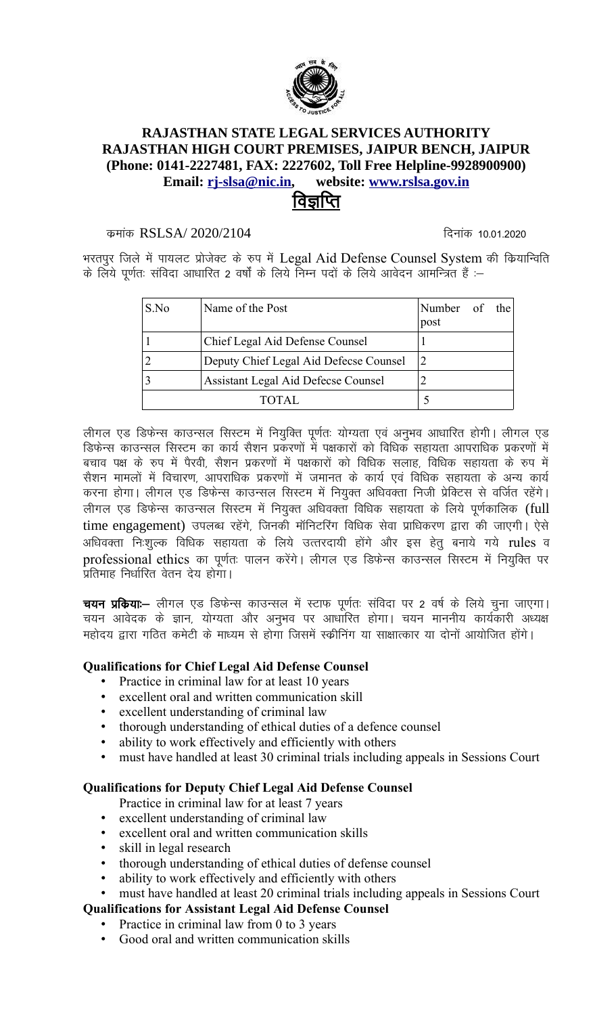

## **RAJASTHAN STATE LEGAL SERVICES AUTHORITY** RAJASTHAN HIGH COURT PREMISES, JAIPUR BENCH, JAIPUR (Phone: 0141-2227481, FAX: 2227602, Toll Free Helpline-9928900900) Email: ri-slsa@nic.in, website: www.rslsa.gov.in विर्ज्ञाप्ति

#### कमांक RSLSA/2020/2104

दिनांक 10.01.2020

भरतपुर जिले में पायलट प्रोजेक्ट के रुप में Legal Aid Defense Counsel System की कियान्विति के लिये पूर्णतः संविदा आधारित 2 वर्षों के लिये निम्न पदों के लिये आवेदन आमन्त्रित हैं :-

| S.No | Name of the Post                       | Number of the<br>post |  |
|------|----------------------------------------|-----------------------|--|
|      | Chief Legal Aid Defense Counsel        |                       |  |
|      | Deputy Chief Legal Aid Defecse Counsel |                       |  |
|      | Assistant Legal Aid Defecse Counsel    |                       |  |
|      |                                        |                       |  |

लीगल एड डिफेन्स काउन्सल सिस्टम में नियुक्ति पूर्णतः योग्यता एवं अनुभव आधारित होगी। लीगल एड डिफेन्स काउन्सल सिस्टम का कार्य सैशन प्रकरणों में पक्षकारों को विधिक सहायता आपराधिक प्रकरणों में बचाव पक्ष के रूप में पैरवी, सैशन प्रकरणों में पक्षकारों को विधिक सलाह, विधिक सहायता के रूप में सैशन मामलों में विचारण, आपराधिक प्रकरणों में जमानत के कार्य एवं विधिक सहायता के अन्य कार्य करना होगा। लीगल एड डिफेन्स काउन्सल सिस्टम में नियुक्त अधिवक्ता निजी प्रेक्टिस से वर्जित रहेंगे। लीगल एड डिफेन्स काउन्सल सिस्टम में नियुक्त अधिवक्ता विधिक सहायता के लिये पूर्णकालिक (full time engagement) उपलब्ध रहेंगे, जिनकी मॉनिटरिंग विधिक सेवा प्राधिकरण द्वारा की जाएगी। ऐसे अधिवक्ता निःशुल्क विधिक सहायता के लिये उत्तरदायी होंगे और इस हेतु बनाये गये rules व professional ethics का पूर्णतः पालन करेंगे। लीगल एड डिफेन्स काउन्सल सिस्टम में नियुक्ति पर प्रतिमाह निर्धारित वेतन देय होगा।

**चयन प्रकिया:--** लीगल एड डिफेन्स काउन्सल में स्टाफ पूर्णतः संविदा पर 2 वर्ष के लिये चुना जाएगा। चयन आवेदक के ज्ञान, योग्यता और अनुभव पर आधारित होगा। चयन माननीय कार्यकारी अध्यक्ष महोदय द्वारा गठित कमेटी के माध्यम से होगा जिसमें स्क्रीनिंग या साक्षात्कार या दोनों आयोजित होंगे।

#### **Qualifications for Chief Legal Aid Defense Counsel**

- Practice in criminal law for at least 10 years
- excellent oral and written communication skill
- excellent understanding of criminal law
- thorough understanding of ethical duties of a defence counsel
- ability to work effectively and efficiently with others
- must have handled at least 30 criminal trials including appeals in Sessions Court

#### **Qualifications for Deputy Chief Legal Aid Defense Counsel**

Practice in criminal law for at least 7 years

- excellent understanding of criminal law
- excellent oral and written communication skills
- skill in legal research
- thorough understanding of ethical duties of defense counsel
- ability to work effectively and efficiently with others
- must have handled at least 20 criminal trials including appeals in Sessions Court

#### **Qualifications for Assistant Legal Aid Defense Counsel**

- Practice in criminal law from 0 to 3 years  $\bullet$
- Good oral and written communication skills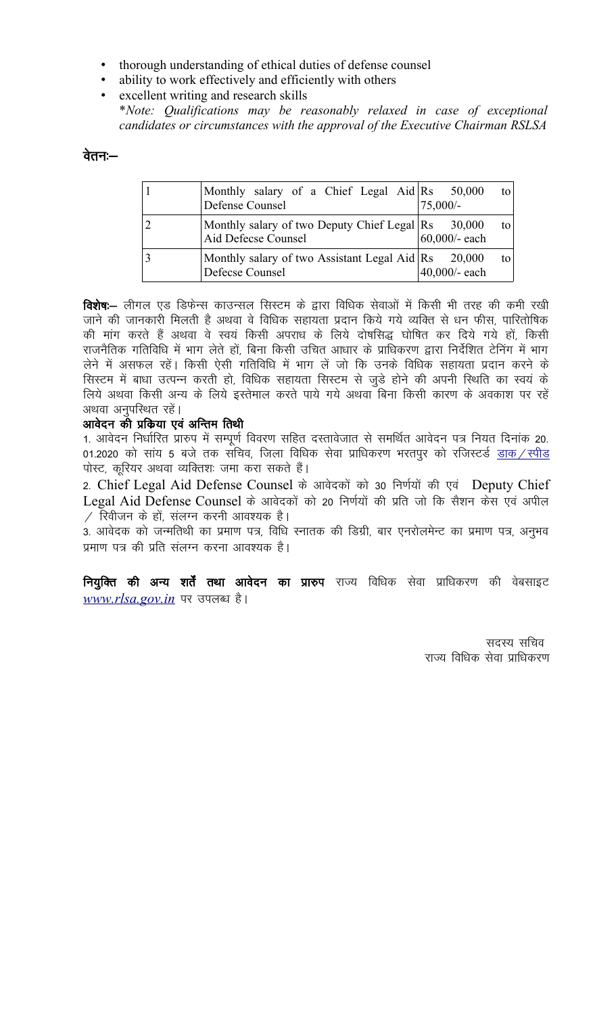- thorough understanding of ethical duties of defense counsel
- ability to work effectively and efficiently with others
- excellent writing and research skills
- \*Note: Qualifications may be reasonably relaxed in case of exceptional candidates or circumstances with the approval of the Executive Chairman RSLSA

#### वेतनः—

| Monthly salary of a Chief Legal Aid Rs 50,000<br>Defense Counsel                     | to l<br>$75,000/-$    |
|--------------------------------------------------------------------------------------|-----------------------|
| Monthly salary of two Deputy Chief Legal $\text{Rs} = 30,000$<br>Aid Defecse Counsel | to l<br>60,000/- each |
| Monthly salary of two Assistant Legal Aid $\text{Rs}$ 20,000<br>Defecse Counsel      | to l<br>40,000/- each |

**विशेषः–** लीगल एड डिफेन्स काउन्सल सिस्टम के द्वारा विधिक सेवाओं में किसी भी तरह की कमी रखी जाने की जानकारी मिलती है अथवा वे विधिक सहायता प्रदान किये गये व्यक्ति से धन फीस, पारितोषिक की मांग करते हैं अथवा वे स्वयं किसी अपराध के लिये दोषसिद्ध घोषित कर दिये गये हों, किसी राजनैतिक गतिविधि में भाग लेते हों, बिना किसी उचित आधार के प्राधिकरण द्वारा निर्देशित टेनिंग में भाग लेने में असफल रहें। किसी ऐसी गतिविधि में भाग लें जो कि उनके विधिक सहायता प्रदान करने के सिस्टम में बाधा उत्पन्न करती हो, विधिक सहायता सिस्टम से जुडे होने की अपनी स्थिति का स्वयं के लिये अथवा किसी अन्य के लिये इस्तेमाल करते पाये गये अथवा बिना किसी कारण के अवकाश पर रहें अथवा अनुपस्थित रहें।

### आवेदन की प्रकिया एवं अन्तिम तिथी

1. आवेदन निर्धारित प्रारुप में सम्पूर्ण विवरण सहित दस्तावेजात से समर्थित आवेदन पत्र नियत दिनांक 20. 01.2020 को सांय 5 बजे तक सचिव, जिला विधिक सेवा प्राधिकरण भरतपुर को रजिस्टर्ड <u>डाक / स्पीड</u> पोस्ट, कूरियर अथवा व्यक्तिशः जमा करा सकते हैं।

2. Chief Legal Aid Defense Counsel के आवेदकों को 30 निर्णयों की एवं Deputy Chief Legal Aid Defense Counsel के आवेदकों को 20 निर्णयों की प्रति जो कि सैशन केस एवं अपील  $\angle$  रिवीजन के हों, संलग्न करनी आवश्यक है।

3. आवेदक को जन्मतिथी का प्रमाण पत्र, विधि स्नातक की डिग्री, बार एनरोलमेन्ट का प्रमाण पत्र, अनुभव प्रमाण पत्र की प्रति संलग्न करना आवश्यक है।

नियुक्ति की अन्य शर्तें तथा आवेदन का प्रारुप राज्य विधिक सेवा प्राधिकरण की वेबसाइट www.rlsa.gov.in पर उपलब्ध है।

> सदस्य सचिव राज्य विधिक सेवा प्राधिकरण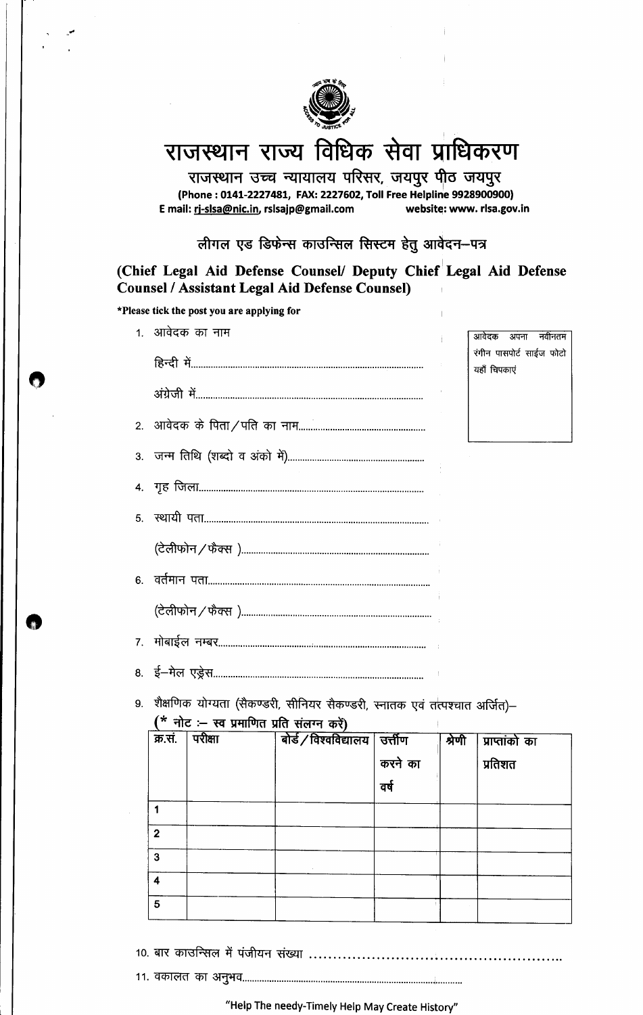

# राजस्थान राज्य विधिक सेवा प्राधिकरण

राजस्थान उच्च न्यायालय परिसर, जयपुर पीठ जयपुर (Phone: 0141-2227481, FAX: 2227602, Toll Free Helpline 9928900900) E mail: rj-slsa@nic.in, rslsajp@gmail.com website: www. rlsa.gov.in

लीगल एड डिफेन्स काउन्सिल सिस्टम हेतु आवेदन-पत्र

(Chief Legal Aid Defense Counsel/ Deputy Chief Legal Aid Defense **Counsel / Assistant Legal Aid Defense Counsel)** 

|                | *Please tick the post you are applying for                                                                              |             |                          |
|----------------|-------------------------------------------------------------------------------------------------------------------------|-------------|--------------------------|
|                | 1. आवेदक का नाम                                                                                                         |             | आवेदक अपना नवीनतम        |
|                |                                                                                                                         | यहाँ चिपकाए | रंगीन पासपोर्ट साईज फोटो |
|                |                                                                                                                         |             |                          |
|                |                                                                                                                         |             |                          |
|                |                                                                                                                         |             |                          |
|                |                                                                                                                         |             |                          |
| 5.             |                                                                                                                         |             |                          |
|                |                                                                                                                         |             |                          |
|                |                                                                                                                         |             |                          |
|                |                                                                                                                         |             |                          |
| 7 <sup>1</sup> |                                                                                                                         |             |                          |
|                |                                                                                                                         |             |                          |
| 9.             | शैक्षणिक योग्यता (सैकण्डरी, सीनियर सैकण्डरी, स्नातक एवं तत्पश्चात अर्जित)—<br>(* नोट :– स्व प्रमाणित प्रति संलग्न करें) |             |                          |

| क्र.सं.        | परीक्षा | बोर्ड / विश्वविद्यालय | उत्तीण  | श्रेणी | प्राप्तांको का |
|----------------|---------|-----------------------|---------|--------|----------------|
|                |         |                       | करने का |        | प्रतिशत        |
|                |         |                       | वर्ष    |        |                |
|                |         |                       |         |        |                |
| $\overline{2}$ |         |                       |         |        |                |
| $\mathbf{3}$   |         |                       |         |        |                |
| 4              |         |                       |         |        |                |
| $5\phantom{1}$ |         |                       |         |        |                |

"Help The needy-Timely Help May Create History"